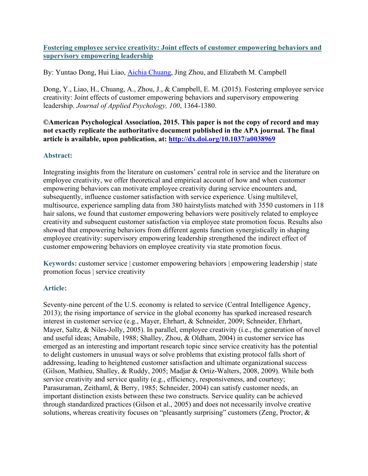## **Fostering employee service creativity: Joint effects of customer empowering behaviors and supervisory empowering leadership**

By: Yuntao Dong, Hui Liao, [Aichia Chuang,](https://libres.uncg.edu/ir/uncg/clist.aspx?id=26149) Jing Zhou, and Elizabeth M. Campbell

Dong, Y., Liao, H., Chuang, A., Zhou, J., & Campbell, E. M. (2015). Fostering employee service creativity: Joint effects of customer empowering behaviors and supervisory empowering leadership. *Journal of Applied Psychology, 100*, 1364-1380.

## **©American Psychological Association, 2015. This paper is not the copy of record and may not exactly replicate the authoritative document published in the APA journal. The final article is available, upon publication, at: <http://dx.doi.org/10.1037/a0038969>**

# **Abstract:**

Integrating insights from the literature on customers' central role in service and the literature on employee creativity, we offer theoretical and empirical account of how and when customer empowering behaviors can motivate employee creativity during service encounters and, subsequently, influence customer satisfaction with service experience. Using multilevel, multisource, experience sampling data from 380 hairstylists matched with 3550 customers in 118 hair salons, we found that customer empowering behaviors were positively related to employee creativity and subsequent customer satisfaction via employee state promotion focus. Results also showed that empowering behaviors from different agents function synergistically in shaping employee creativity: supervisory empowering leadership strengthened the indirect effect of customer empowering behaviors on employee creativity via state promotion focus.

**Keywords:** customer service | customer empowering behaviors | empowering leadership | state promotion focus | service creativity

# **Article:**

Seventy-nine percent of the U.S. economy is related to service (Central Intelligence Agency, 2013); the rising importance of service in the global economy has sparked increased research interest in customer service (e.g., Mayer, Ehrhart, & Schneider, 2009; Schneider, Ehrhart, Mayer, Saltz, & Niles-Jolly, 2005). In parallel, employee creativity (i.e., the generation of novel and useful ideas; Amabile, 1988; Shalley, Zhou, & Oldham, 2004) in customer service has emerged as an interesting and important research topic since service creativity has the potential to delight customers in unusual ways or solve problems that existing protocol falls short of addressing, leading to heightened customer satisfaction and ultimate organizational success (Gilson, Mathieu, Shalley, & Ruddy, 2005; Madjar & Ortiz-Walters, 2008, 2009). While both service creativity and service quality (e.g., efficiency, responsiveness, and courtesy; Parasuraman, Zeithaml, & Berry, 1985; Schneider, 2004) can satisfy customer needs, an important distinction exists between these two constructs. Service quality can be achieved through standardized practices (Gilson et al., 2005) and does not necessarily involve creative solutions, whereas creativity focuses on "pleasantly surprising" customers (Zeng, Proctor, &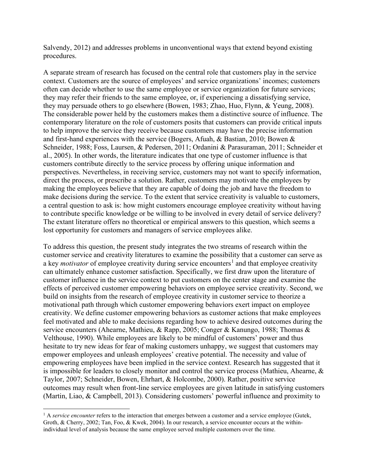Salvendy, 2012) and addresses problems in unconventional ways that extend beyond existing procedures.

A separate stream of research has focused on the central role that customers play in the service context. Customers are the source of employees' and service organizations' incomes; customers often can decide whether to use the same employee or service organization for future services; they may refer their friends to the same employee, or, if experiencing a dissatisfying service, they may persuade others to go elsewhere (Bowen, 1983; Zhao, Huo, Flynn, & Yeung, 2008). The considerable power held by the customers makes them a distinctive source of influence. The contemporary literature on the role of customers posits that customers can provide critical inputs to help improve the service they receive because customers may have the precise information and first-hand experiences with the service (Bogers, Afuah, & Bastian, 2010; Bowen & Schneider, 1988; Foss, Laursen, & Pedersen, 2011; Ordanini & Parasuraman, 2011; Schneider et al., 2005). In other words, the literature indicates that one type of customer influence is that customers contribute directly to the service process by offering unique information and perspectives. Nevertheless, in receiving service, customers may not want to specify information, direct the process, or prescribe a solution. Rather, customers may motivate the employees by making the employees believe that they are capable of doing the job and have the freedom to make decisions during the service. To the extent that service creativity is valuable to customers, a central question to ask is: how might customers encourage employee creativity without having to contribute specific knowledge or be willing to be involved in every detail of service delivery? The extant literature offers no theoretical or empirical answers to this question, which seems a lost opportunity for customers and managers of service employees alike.

To address this question, the present study integrates the two streams of research within the customer service and creativity literatures to examine the possibility that a customer can serve as a key *motivator* of employee creativity during service encounters<sup>[1](#page-1-0)</sup> and that employee creativity can ultimately enhance customer satisfaction. Specifically, we first draw upon the literature of customer influence in the service context to put customers on the center stage and examine the effects of perceived customer empowering behaviors on employee service creativity. Second, we build on insights from the research of employee creativity in customer service to theorize a motivational path through which customer empowering behaviors exert impact on employee creativity. We define customer empowering behaviors as customer actions that make employees feel motivated and able to make decisions regarding how to achieve desired outcomes during the service encounters (Ahearne, Mathieu, & Rapp, 2005; Conger & Kanungo, 1988; Thomas & Velthouse, 1990). While employees are likely to be mindful of customers' power and thus hesitate to try new ideas for fear of making customers unhappy, we suggest that customers may empower employees and unleash employees' creative potential. The necessity and value of empowering employees have been implied in the service context. Research has suggested that it is impossible for leaders to closely monitor and control the service process (Mathieu, Ahearne, & Taylor, 2007; Schneider, Bowen, Ehrhart, & Holcombe, 2000). Rather, positive service outcomes may result when front-line service employees are given latitude in satisfying customers (Martin, Liao, & Campbell, 2013). Considering customers' powerful influence and proximity to

<span id="page-1-0"></span><sup>&</sup>lt;sup>1</sup> A *service encounter* refers to the interaction that emerges between a customer and a service employee (Gutek, Groth, & Cherry, 2002; Tan, Foo, & Kwek, 2004). In our research, a service encounter occurs at the withinindividual level of analysis because the same employee served multiple customers over the time.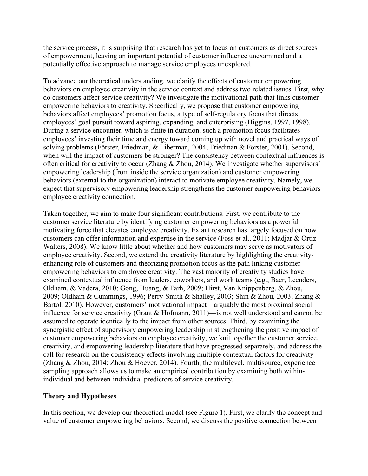the service process, it is surprising that research has yet to focus on customers as direct sources of empowerment, leaving an important potential of customer influence unexamined and a potentially effective approach to manage service employees unexplored.

To advance our theoretical understanding, we clarify the effects of customer empowering behaviors on employee creativity in the service context and address two related issues. First, why do customers affect service creativity? We investigate the motivational path that links customer empowering behaviors to creativity. Specifically, we propose that customer empowering behaviors affect employees' promotion focus, a type of self-regulatory focus that directs employees' goal pursuit toward aspiring, expanding, and enterprising (Higgins, 1997, 1998). During a service encounter, which is finite in duration, such a promotion focus facilitates employees' investing their time and energy toward coming up with novel and practical ways of solving problems (Förster, Friedman, & Liberman, 2004; Friedman & Förster, 2001). Second, when will the impact of customers be stronger? The consistency between contextual influences is often critical for creativity to occur (Zhang & Zhou, 2014). We investigate whether supervisors' empowering leadership (from inside the service organization) and customer empowering behaviors (external to the organization) interact to motivate employee creativity. Namely, we expect that supervisory empowering leadership strengthens the customer empowering behaviors– employee creativity connection.

Taken together, we aim to make four significant contributions. First, we contribute to the customer service literature by identifying customer empowering behaviors as a powerful motivating force that elevates employee creativity. Extant research has largely focused on how customers can offer information and expertise in the service (Foss et al., 2011; Madjar & Ortiz-Walters, 2008). We know little about whether and how customers may serve as motivators of employee creativity. Second, we extend the creativity literature by highlighting the creativityenhancing role of customers and theorizing promotion focus as the path linking customer empowering behaviors to employee creativity. The vast majority of creativity studies have examined contextual influence from leaders, coworkers, and work teams (e.g., Baer, Leenders, Oldham, & Vadera, 2010; Gong, Huang, & Farh, 2009; Hirst, Van Knippenberg, & Zhou, 2009; Oldham & Cummings, 1996; Perry-Smith & Shalley, 2003; Shin & Zhou, 2003; Zhang & Bartol, 2010). However, customers' motivational impact—arguably the most proximal social influence for service creativity (Grant & Hofmann, 2011)—is not well understood and cannot be assumed to operate identically to the impact from other sources. Third, by examining the synergistic effect of supervisory empowering leadership in strengthening the positive impact of customer empowering behaviors on employee creativity, we knit together the customer service, creativity, and empowering leadership literature that have progressed separately, and address the call for research on the consistency effects involving multiple contextual factors for creativity (Zhang & Zhou, 2014; Zhou & Hoever, 2014). Fourth, the multilevel, multisource, experience sampling approach allows us to make an empirical contribution by examining both withinindividual and between-individual predictors of service creativity.

## **Theory and Hypotheses**

In this section, we develop our theoretical model (see Figure 1). First, we clarify the concept and value of customer empowering behaviors. Second, we discuss the positive connection between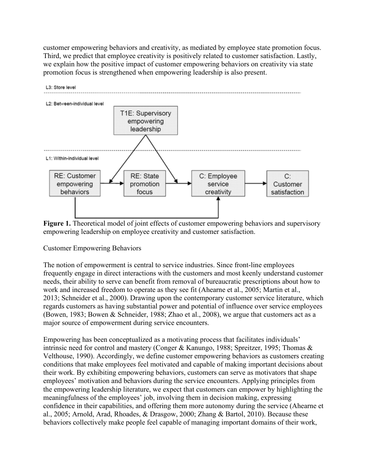customer empowering behaviors and creativity, as mediated by employee state promotion focus. Third, we predict that employee creativity is positively related to customer satisfaction. Lastly, we explain how the positive impact of customer empowering behaviors on creativity via state promotion focus is strengthened when empowering leadership is also present.



Figure 1. Theoretical model of joint effects of customer empowering behaviors and supervisory empowering leadership on employee creativity and customer satisfaction.

Customer Empowering Behaviors

The notion of empowerment is central to service industries. Since front-line employees frequently engage in direct interactions with the customers and most keenly understand customer needs, their ability to serve can benefit from removal of bureaucratic prescriptions about how to work and increased freedom to operate as they see fit (Ahearne et al., 2005; Martin et al., 2013; Schneider et al., 2000). Drawing upon the contemporary customer service literature, which regards customers as having substantial power and potential of influence over service employees (Bowen, 1983; Bowen & Schneider, 1988; Zhao et al., 2008), we argue that customers act as a major source of empowerment during service encounters.

Empowering has been conceptualized as a motivating process that facilitates individuals' intrinsic need for control and mastery (Conger & Kanungo, 1988; Spreitzer, 1995; Thomas & Velthouse, 1990). Accordingly, we define customer empowering behaviors as customers creating conditions that make employees feel motivated and capable of making important decisions about their work. By exhibiting empowering behaviors, customers can serve as motivators that shape employees' motivation and behaviors during the service encounters. Applying principles from the empowering leadership literature, we expect that customers can empower by highlighting the meaningfulness of the employees' job, involving them in decision making, expressing confidence in their capabilities, and offering them more autonomy during the service (Ahearne et al., 2005; Arnold, Arad, Rhoades, & Drasgow, 2000; Zhang & Bartol, 2010). Because these behaviors collectively make people feel capable of managing important domains of their work,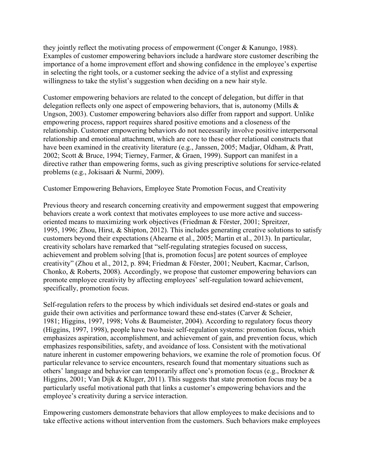they jointly reflect the motivating process of empowerment (Conger & Kanungo, 1988). Examples of customer empowering behaviors include a hardware store customer describing the importance of a home improvement effort and showing confidence in the employee's expertise in selecting the right tools, or a customer seeking the advice of a stylist and expressing willingness to take the stylist's suggestion when deciding on a new hair style.

Customer empowering behaviors are related to the concept of delegation, but differ in that delegation reflects only one aspect of empowering behaviors, that is, autonomy (Mills & Ungson, 2003). Customer empowering behaviors also differ from rapport and support. Unlike empowering process, rapport requires shared positive emotions and a closeness of the relationship. Customer empowering behaviors do not necessarily involve positive interpersonal relationship and emotional attachment, which are core to these other relational constructs that have been examined in the creativity literature (e.g., Janssen, 2005; Madjar, Oldham, & Pratt, 2002; Scott & Bruce, 1994; Tierney, Farmer, & Graen, 1999). Support can manifest in a directive rather than empowering forms, such as giving prescriptive solutions for service-related problems (e.g., Jokisaari & Nurmi, 2009).

Customer Empowering Behaviors, Employee State Promotion Focus, and Creativity

Previous theory and research concerning creativity and empowerment suggest that empowering behaviors create a work context that motivates employees to use more active and successoriented means to maximizing work objectives (Friedman & Förster, 2001; Spreitzer, 1995, 1996; Zhou, Hirst, & Shipton, 2012). This includes generating creative solutions to satisfy customers beyond their expectations (Ahearne et al., 2005; Martin et al., 2013). In particular, creativity scholars have remarked that "self-regulating strategies focused on success, achievement and problem solving [that is, promotion focus] are potent sources of employee creativity" (Zhou et al., 2012, p. 894; Friedman & Förster, 2001; Neubert, Kacmar, Carlson, Chonko, & Roberts, 2008). Accordingly, we propose that customer empowering behaviors can promote employee creativity by affecting employees' self-regulation toward achievement, specifically, promotion focus.

Self-regulation refers to the process by which individuals set desired end-states or goals and guide their own activities and performance toward these end-states (Carver & Scheier, 1981; Higgins, 1997, 1998; Vohs & Baumeister, 2004). According to regulatory focus theory (Higgins, 1997, 1998), people have two basic self-regulation systems: promotion focus, which emphasizes aspiration, accomplishment, and achievement of gain, and prevention focus, which emphasizes responsibilities, safety, and avoidance of loss. Consistent with the motivational nature inherent in customer empowering behaviors, we examine the role of promotion focus. Of particular relevance to service encounters, research found that momentary situations such as others' language and behavior can temporarily affect one's promotion focus (e.g., Brockner & Higgins, 2001; Van Dijk & Kluger, 2011). This suggests that state promotion focus may be a particularly useful motivational path that links a customer's empowering behaviors and the employee's creativity during a service interaction.

Empowering customers demonstrate behaviors that allow employees to make decisions and to take effective actions without intervention from the customers. Such behaviors make employees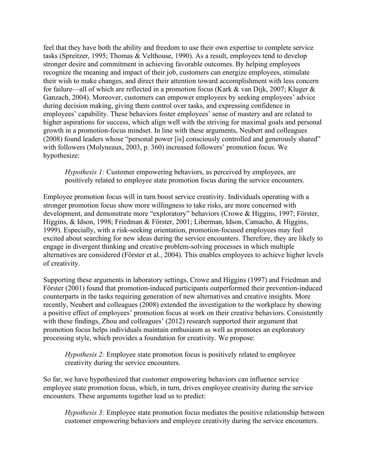feel that they have both the ability and freedom to use their own expertise to complete service tasks (Spreitzer, 1995; Thomas & Velthouse, 1990). As a result, employees tend to develop stronger desire and commitment in achieving favorable outcomes. By helping employees recognize the meaning and impact of their job, customers can energize employees, stimulate their wish to make changes, and direct their attention toward accomplishment with less concern for failure—all of which are reflected in a promotion focus (Kark & van Dijk, 2007; Kluger & Ganzach, 2004). Moreover, customers can empower employees by seeking employees' advice during decision making, giving them control over tasks, and expressing confidence in employees' capability. These behaviors foster employees' sense of mastery and are related to higher aspirations for success, which align well with the striving for maximal goals and personal growth in a promotion-focus mindset. In line with these arguments, Neubert and colleagues (2008) found leaders whose "personal power [is] consciously controlled and generously shared" with followers (Molyneaux, 2003, p. 360) increased followers' promotion focus. We hypothesize:

*Hypothesis 1:* Customer empowering behaviors, as perceived by employees, are positively related to employee state promotion focus during the service encounters.

Employee promotion focus will in turn boost service creativity. Individuals operating with a stronger promotion focus show more willingness to take risks, are more concerned with development, and demonstrate more "exploratory" behaviors (Crowe & Higgins, 1997; Förster, Higgins, & Idson, 1998; Friedman & Förster, 2001; Liberman, Idson, Camacho, & Higgins, 1999). Especially, with a risk-seeking orientation, promotion-focused employees may feel excited about searching for new ideas during the service encounters. Therefore, they are likely to engage in divergent thinking and creative problem-solving processes in which multiple alternatives are considered (Förster et al., 2004). This enables employees to achieve higher levels of creativity.

Supporting these arguments in laboratory settings, Crowe and Higgins (1997) and Friedman and Förster (2001) found that promotion-induced participants outperformed their prevention-induced counterparts in the tasks requiring generation of new alternatives and creative insights. More recently, Neubert and colleagues (2008) extended the investigation to the workplace by showing a positive effect of employees' promotion focus at work on their creative behaviors. Consistently with these findings, Zhou and colleagues' (2012) research supported their argument that promotion focus helps individuals maintain enthusiasm as well as promotes an exploratory processing style, which provides a foundation for creativity. We propose:

*Hypothesis 2:* Employee state promotion focus is positively related to employee creativity during the service encounters.

So far, we have hypothesized that customer empowering behaviors can influence service employee state promotion focus, which, in turn, drives employee creativity during the service encounters. These arguments together lead us to predict:

*Hypothesis 3:* Employee state promotion focus mediates the positive relationship between customer empowering behaviors and employee creativity during the service encounters.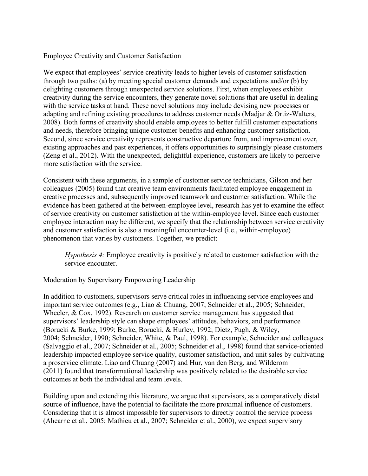## Employee Creativity and Customer Satisfaction

We expect that employees' service creativity leads to higher levels of customer satisfaction through two paths: (a) by meeting special customer demands and expectations and/or (b) by delighting customers through unexpected service solutions. First, when employees exhibit creativity during the service encounters, they generate novel solutions that are useful in dealing with the service tasks at hand. These novel solutions may include devising new processes or adapting and refining existing procedures to address customer needs (Madjar & Ortiz-Walters, 2008). Both forms of creativity should enable employees to better fulfill customer expectations and needs, therefore bringing unique customer benefits and enhancing customer satisfaction. Second, since service creativity represents constructive departure from, and improvement over, existing approaches and past experiences, it offers opportunities to surprisingly please customers (Zeng et al., 2012). With the unexpected, delightful experience, customers are likely to perceive more satisfaction with the service.

Consistent with these arguments, in a sample of customer service technicians, Gilson and her colleagues (2005) found that creative team environments facilitated employee engagement in creative processes and, subsequently improved teamwork and customer satisfaction. While the evidence has been gathered at the between-employee level, research has yet to examine the effect of service creativity on customer satisfaction at the within-employee level. Since each customer– employee interaction may be different, we specify that the relationship between service creativity and customer satisfaction is also a meaningful encounter-level (i.e., within-employee) phenomenon that varies by customers. Together, we predict:

*Hypothesis 4:* Employee creativity is positively related to customer satisfaction with the service encounter.

## Moderation by Supervisory Empowering Leadership

In addition to customers, supervisors serve critical roles in influencing service employees and important service outcomes (e.g., Liao & Chuang, 2007; Schneider et al., 2005; Schneider, Wheeler, & Cox, 1992). Research on customer service management has suggested that supervisors' leadership style can shape employees' attitudes, behaviors, and performance (Borucki & Burke, 1999; Burke, Borucki, & Hurley, 1992; Dietz, Pugh, & Wiley, 2004; Schneider, 1990; Schneider, White, & Paul, 1998). For example, Schneider and colleagues (Salvaggio et al., 2007; Schneider et al., 2005; Schneider et al., 1998) found that service-oriented leadership impacted employee service quality, customer satisfaction, and unit sales by cultivating a proservice climate. Liao and Chuang (2007) and Hur, van den Berg, and Wilderom (2011) found that transformational leadership was positively related to the desirable service outcomes at both the individual and team levels.

Building upon and extending this literature, we argue that supervisors, as a comparatively distal source of influence, have the potential to facilitate the more proximal influence of customers. Considering that it is almost impossible for supervisors to directly control the service process (Ahearne et al., 2005; Mathieu et al., 2007; Schneider et al., 2000), we expect supervisory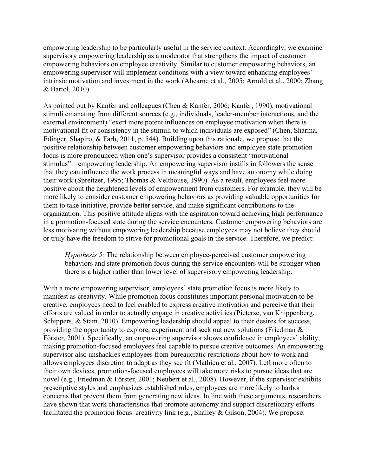empowering leadership to be particularly useful in the service context. Accordingly, we examine supervisory empowering leadership as a moderator that strengthens the impact of customer empowering behaviors on employee creativity. Similar to customer empowering behaviors, an empowering supervisor will implement conditions with a view toward enhancing employees' intrinsic motivation and investment in the work (Ahearne et al., 2005; Arnold et al., 2000; Zhang & Bartol, 2010).

As pointed out by Kanfer and colleagues (Chen & Kanfer, 2006; Kanfer, 1990), motivational stimuli emanating from different sources (e.g., individuals, leader-member interactions, and the external environment) "exert more potent influences on employee motivation when there is motivational fit or consistency in the stimuli to which individuals are exposed" (Chen, Sharma, Edinger, Shapiro, & Farh, 2011, p. 544). Building upon this rationale, we propose that the positive relationship between customer empowering behaviors and employee state promotion focus is more pronounced when one's supervisor provides a consistent "motivational stimulus"—empowering leadership. An empowering supervisor instills in followers the sense that they can influence the work process in meaningful ways and have autonomy while doing their work (Spreitzer, 1995; Thomas & Velthouse, 1990). As a result, employees feel more positive about the heightened levels of empowerment from customers. For example, they will be more likely to consider customer empowering behaviors as providing valuable opportunities for them to take initiative, provide better service, and make significant contributions to the organization. This positive attitude aligns with the aspiration toward achieving high performance in a promotion-focused state during the service encounters. Customer empowering behaviors are less motivating without empowering leadership because employees may not believe they should or truly have the freedom to strive for promotional goals in the service. Therefore, we predict:

*Hypothesis 5:* The relationship between employee-perceived customer empowering behaviors and state promotion focus during the service encounters will be stronger when there is a higher rather than lower level of supervisory empowering leadership.

With a more empowering supervisor, employees' state promotion focus is more likely to manifest as creativity. While promotion focus constitutes important personal motivation to be creative, employees need to feel enabled to express creative motivation and perceive that their efforts are valued in order to actually engage in creative activities (Pieterse, van Knippenberg, Schippers, & Stam, 2010). Empowering leadership should appeal to their desires for success, providing the opportunity to explore, experiment and seek out new solutions (Friedman & Förster, 2001). Specifically, an empowering supervisor shows confidence in employees' ability, making promotion-focused employees feel capable to pursue creative outcomes. An empowering supervisor also unshackles employees from bureaucratic restrictions about how to work and allows employees discretion to adapt as they see fit (Mathieu et al., 2007). Left more often to their own devices, promotion-focused employees will take more risks to pursue ideas that are novel (e.g., Friedman & Förster, 2001; Neubert et al., 2008). However, if the supervisor exhibits prescriptive styles and emphasizes established rules, employees are more likely to harbor concerns that prevent them from generating new ideas. In line with these arguments, researchers have shown that work characteristics that promote autonomy and support discretionary efforts facilitated the promotion focus–creativity link (e.g., Shalley & Gilson, 2004). We propose: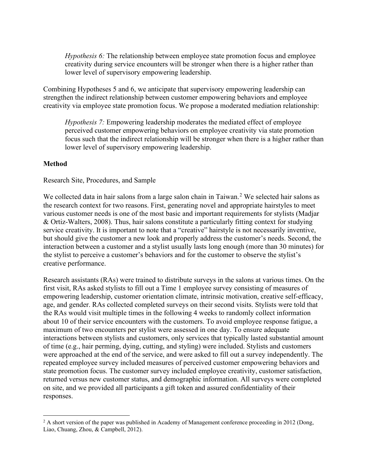*Hypothesis 6:* The relationship between employee state promotion focus and employee creativity during service encounters will be stronger when there is a higher rather than lower level of supervisory empowering leadership.

Combining Hypotheses 5 and 6, we anticipate that supervisory empowering leadership can strengthen the indirect relationship between customer empowering behaviors and employee creativity via employee state promotion focus. We propose a moderated mediation relationship:

*Hypothesis 7:* Empowering leadership moderates the mediated effect of employee perceived customer empowering behaviors on employee creativity via state promotion focus such that the indirect relationship will be stronger when there is a higher rather than lower level of supervisory empowering leadership.

## **Method**

#### Research Site, Procedures, and Sample

We collected data in hair salons from a large salon chain in Taiwan.<sup>[2](#page-8-0)</sup> We selected hair salons as the research context for two reasons. First, generating novel and appropriate hairstyles to meet various customer needs is one of the most basic and important requirements for stylists (Madjar & Ortiz-Walters, 2008). Thus, hair salons constitute a particularly fitting context for studying service creativity. It is important to note that a "creative" hairstyle is not necessarily inventive, but should give the customer a new look and properly address the customer's needs. Second, the interaction between a customer and a stylist usually lasts long enough (more than 30 minutes) for the stylist to perceive a customer's behaviors and for the customer to observe the stylist's creative performance.

Research assistants (RAs) were trained to distribute surveys in the salons at various times. On the first visit, RAs asked stylists to fill out a Time 1 employee survey consisting of measures of empowering leadership, customer orientation climate, intrinsic motivation, creative self-efficacy, age, and gender. RAs collected completed surveys on their second visits. Stylists were told that the RAs would visit multiple times in the following 4 weeks to randomly collect information about 10 of their service encounters with the customers. To avoid employee response fatigue, a maximum of two encounters per stylist were assessed in one day. To ensure adequate interactions between stylists and customers, only services that typically lasted substantial amount of time (e.g., hair perming, dying, cutting, and styling) were included. Stylists and customers were approached at the end of the service, and were asked to fill out a survey independently. The repeated employee survey included measures of perceived customer empowering behaviors and state promotion focus. The customer survey included employee creativity, customer satisfaction, returned versus new customer status, and demographic information. All surveys were completed on site, and we provided all participants a gift token and assured confidentiality of their responses.

<span id="page-8-0"></span> $2 A$  short version of the paper was published in Academy of Management conference proceeding in 2012 (Dong, Liao, Chuang, Zhou, & Campbell, 2012).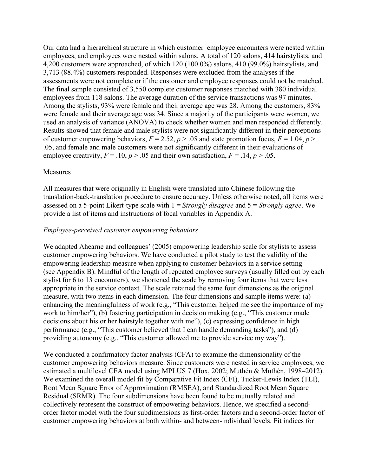Our data had a hierarchical structure in which customer–employee encounters were nested within employees, and employees were nested within salons. A total of 120 salons, 414 hairstylists, and 4,200 customers were approached, of which 120 (100.0%) salons, 410 (99.0%) hairstylists, and 3,713 (88.4%) customers responded. Responses were excluded from the analyses if the assessments were not complete or if the customer and employee responses could not be matched. The final sample consisted of 3,550 complete customer responses matched with 380 individual employees from 118 salons. The average duration of the service transactions was 97 minutes. Among the stylists, 93% were female and their average age was 28. Among the customers, 83% were female and their average age was 34. Since a majority of the participants were women, we used an analysis of variance (ANOVA) to check whether women and men responded differently. Results showed that female and male stylists were not significantly different in their perceptions of customer empowering behaviors,  $F = 2.52$ ,  $p > .05$  and state promotion focus,  $F = 1.04$ ,  $p >$ .05, and female and male customers were not significantly different in their evaluations of employee creativity,  $F = .10$ ,  $p > .05$  and their own satisfaction,  $F = .14$ ,  $p > .05$ .

#### Measures

All measures that were originally in English were translated into Chinese following the translation-back-translation procedure to ensure accuracy. Unless otherwise noted, all items were assessed on a 5-point Likert-type scale with 1 = *Strongly disagree* and 5 = *Strongly agree*. We provide a list of items and instructions of focal variables in Appendix A.

## *Employee-perceived customer empowering behaviors*

We adapted Ahearne and colleagues' (2005) empowering leadership scale for stylists to assess customer empowering behaviors. We have conducted a pilot study to test the validity of the empowering leadership measure when applying to customer behaviors in a service setting (see Appendix B). Mindful of the length of repeated employee surveys (usually filled out by each stylist for 6 to 13 encounters), we shortened the scale by removing four items that were less appropriate in the service context. The scale retained the same four dimensions as the original measure, with two items in each dimension. The four dimensions and sample items were: (a) enhancing the meaningfulness of work (e.g., "This customer helped me see the importance of my work to him/her"), (b) fostering participation in decision making (e.g., "This customer made decisions about his or her hairstyle together with me"), (c) expressing confidence in high performance (e.g., "This customer believed that I can handle demanding tasks"), and (d) providing autonomy (e.g., "This customer allowed me to provide service my way").

We conducted a confirmatory factor analysis (CFA) to examine the dimensionality of the customer empowering behaviors measure. Since customers were nested in service employees, we estimated a multilevel CFA model using MPLUS 7 (Hox, 2002; Muthén & Muthén, 1998–2012). We examined the overall model fit by Comparative Fit Index (CFI), Tucker-Lewis Index (TLI), Root Mean Square Error of Approximation (RMSEA), and Standardized Root Mean Square Residual (SRMR). The four subdimensions have been found to be mutually related and collectively represent the construct of empowering behaviors. Hence, we specified a secondorder factor model with the four subdimensions as first-order factors and a second-order factor of customer empowering behaviors at both within- and between-individual levels. Fit indices for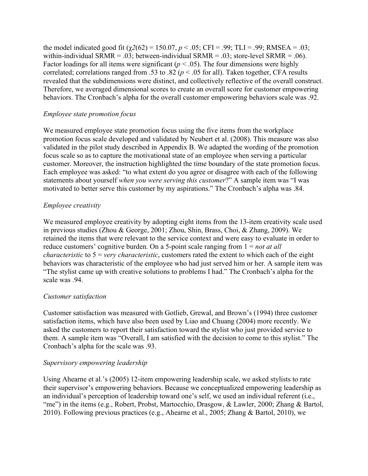the model indicated good fit ( $\chi$ 2(62) = 150.07, *p* < .05; CFI = .99; TLI = .99; RMSEA = .03; within-individual SRMR = .03; between-individual SRMR = .03; store-level SRMR = .06). Factor loadings for all items were significant ( $p < .05$ ). The four dimensions were highly correlated; correlations ranged from .53 to .82 (*p* < .05 for all). Taken together, CFA results revealed that the subdimensions were distinct, and collectively reflective of the overall construct. Therefore, we averaged dimensional scores to create an overall score for customer empowering behaviors. The Cronbach's alpha for the overall customer empowering behaviors scale was .92.

## *Employee state promotion focus*

We measured employee state promotion focus using the five items from the workplace promotion focus scale developed and validated by Neubert et al. (2008). This measure was also validated in the pilot study described in Appendix B. We adapted the wording of the promotion focus scale so as to capture the motivational state of an employee when serving a particular customer. Moreover, the instruction highlighted the time boundary of the state promotion focus. Each employee was asked: "to what extent do you agree or disagree with each of the following statements about yourself *when you were serving this customer*?" A sample item was "I was motivated to better serve this customer by my aspirations." The Cronbach's alpha was .84.

## *Employee creativity*

We measured employee creativity by adopting eight items from the 13-item creativity scale used in previous studies (Zhou & George, 2001; Zhou, Shin, Brass, Choi, & Zhang, 2009). We retained the items that were relevant to the service context and were easy to evaluate in order to reduce customers' cognitive burden. On a 5-point scale ranging from 1 = *not at all characteristic* to 5 = *very characteristic*, customers rated the extent to which each of the eight behaviors was characteristic of the employee who had just served him or her. A sample item was "The stylist came up with creative solutions to problems I had." The Cronbach's alpha for the scale was .94.

## *Customer satisfaction*

Customer satisfaction was measured with Gotlieb, Grewal, and Brown's (1994) three customer satisfaction items, which have also been used by Liao and Chuang (2004) more recently. We asked the customers to report their satisfaction toward the stylist who just provided service to them. A sample item was "Overall, I am satisfied with the decision to come to this stylist." The Cronbach's alpha for the scale was .93.

## *Supervisory empowering leadership*

Using Ahearne et al.'s (2005) 12-item empowering leadership scale, we asked stylists to rate their supervisor's empowering behaviors. Because we conceptualized empowering leadership as an individual's perception of leadership toward one's self, we used an individual referent (i.e., "me") in the items (e.g., Robert, Probst, Martocchio, Drasgow, & Lawler, 2000; Zhang & Bartol, 2010). Following previous practices (e.g., Ahearne et al., 2005; Zhang & Bartol, 2010), we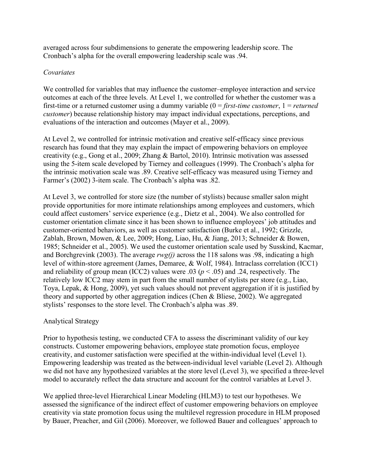averaged across four subdimensions to generate the empowering leadership score. The Cronbach's alpha for the overall empowering leadership scale was .94.

## *Covariates*

We controlled for variables that may influence the customer–employee interaction and service outcomes at each of the three levels. At Level 1, we controlled for whether the customer was a first-time or a returned customer using a dummy variable (0 = *first-time customer*, 1 = *returned customer*) because relationship history may impact individual expectations, perceptions, and evaluations of the interaction and outcomes (Mayer et al., 2009).

At Level 2, we controlled for intrinsic motivation and creative self-efficacy since previous research has found that they may explain the impact of empowering behaviors on employee creativity (e.g., Gong et al., 2009; Zhang & Bartol, 2010). Intrinsic motivation was assessed using the 5-item scale developed by Tierney and colleagues (1999). The Cronbach's alpha for the intrinsic motivation scale was .89. Creative self-efficacy was measured using Tierney and Farmer's (2002) 3-item scale. The Cronbach's alpha was .82.

At Level 3, we controlled for store size (the number of stylists) because smaller salon might provide opportunities for more intimate relationships among employees and customers, which could affect customers' service experience (e.g., Dietz et al., 2004). We also controlled for customer orientation climate since it has been shown to influence employees' job attitudes and customer-oriented behaviors, as well as customer satisfaction (Burke et al., 1992; Grizzle, Zablah, Brown, Mowen, & Lee, 2009; Hong, Liao, Hu, & Jiang, 2013; Schneider & Bowen, 1985; Schneider et al., 2005). We used the customer orientation scale used by Susskind, Kacmar, and Borchgrevink (2003). The average *rwg(j)* across the 118 salons was .98, indicating a high level of within-store agreement (James, Demaree, & Wolf, 1984). Intraclass correlation (ICC1) and reliability of group mean (ICC2) values were .03 ( $p < .05$ ) and .24, respectively. The relatively low ICC2 may stem in part from the small number of stylists per store (e.g., Liao, Toya, Lepak, & Hong, 2009), yet such values should not prevent aggregation if it is justified by theory and supported by other aggregation indices (Chen & Bliese, 2002). We aggregated stylists' responses to the store level. The Cronbach's alpha was .89.

## Analytical Strategy

Prior to hypothesis testing, we conducted CFA to assess the discriminant validity of our key constructs. Customer empowering behaviors, employee state promotion focus, employee creativity, and customer satisfaction were specified at the within-individual level (Level 1). Empowering leadership was treated as the between-individual level variable (Level 2). Although we did not have any hypothesized variables at the store level (Level 3), we specified a three-level model to accurately reflect the data structure and account for the control variables at Level 3.

We applied three-level Hierarchical Linear Modeling (HLM3) to test our hypotheses. We assessed the significance of the indirect effect of customer empowering behaviors on employee creativity via state promotion focus using the multilevel regression procedure in HLM proposed by Bauer, Preacher, and Gil (2006). Moreover, we followed Bauer and colleagues' approach to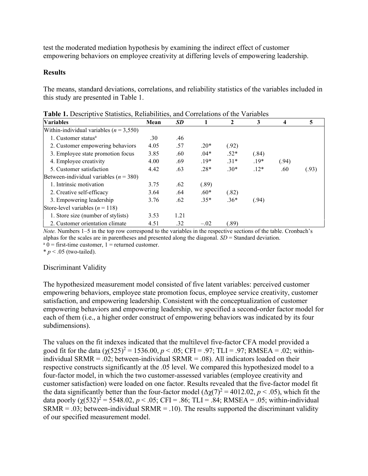test the moderated mediation hypothesis by examining the indirect effect of customer empowering behaviors on employee creativity at differing levels of empowering leadership.

## **Results**

The means, standard deviations, correlations, and reliability statistics of the variables included in this study are presented in Table 1.

| <b>Variables</b>                            | Mean | SD   |        | 2      | 3      | 4     | 5     |
|---------------------------------------------|------|------|--------|--------|--------|-------|-------|
| Within-individual variables ( $n = 3,550$ ) |      |      |        |        |        |       |       |
| 1. Customer status <sup>a</sup>             | .30  | .46  |        |        |        |       |       |
| 2. Customer empowering behaviors            | 4.05 | .57  | $.20*$ | (.92)  |        |       |       |
| 3. Employee state promotion focus           | 3.85 | .60  | $.04*$ | $.52*$ | (.84)  |       |       |
| 4. Employee creativity                      | 4.00 | .69  | $.19*$ | $.31*$ | $.19*$ | (.94) |       |
| 5. Customer satisfaction                    | 4.42 | .63  | $.28*$ | $.30*$ | $.12*$ | .60   | (.93) |
| Between-individual variables ( $n = 380$ )  |      |      |        |        |        |       |       |
| 1. Intrinsic motivation                     | 3.75 | .62  | (.89)  |        |        |       |       |
| 2. Creative self-efficacy                   | 3.64 | .64  | $.60*$ | (.82)  |        |       |       |
| 3. Empowering leadership                    | 3.76 | .62  | $.35*$ | $.36*$ | (.94)  |       |       |
| Store-level variables ( $n = 118$ )         |      |      |        |        |        |       |       |
| 1. Store size (number of stylists)          | 3.53 | 1.21 |        |        |        |       |       |
| 2. Customer orientation climate             | 4.51 | .32  | $-.02$ | (.89)  |        |       |       |

**Table 1.** Descriptive Statistics, Reliabilities, and Correlations of the Variables

*Note.* Numbers 1–5 in the top row correspond to the variables in the respective sections of the table. Cronbach's alphas for the scales are in parentheses and presented along the diagonal. *SD* = Standard deviation.  $a = 0$  = first-time customer, 1 = returned customer.

 $* p < .05$  (two-tailed).

## Discriminant Validity

The hypothesized measurement model consisted of five latent variables: perceived customer empowering behaviors, employee state promotion focus, employee service creativity, customer satisfaction, and empowering leadership. Consistent with the conceptualization of customer empowering behaviors and empowering leadership, we specified a second-order factor model for each of them (i.e., a higher order construct of empowering behaviors was indicated by its four subdimensions).

The values on the fit indexes indicated that the multilevel five-factor CFA model provided a good fit for the data  $(\gamma(525)^2 = 1536.00, p < .05$ ; CFI = .97; TLI = .97; RMSEA = .02; withinindividual SRMR = .02; between-individual SRMR = .08). All indicators loaded on their respective constructs significantly at the .05 level. We compared this hypothesized model to a four-factor model, in which the two customer-assessed variables (employee creativity and customer satisfaction) were loaded on one factor. Results revealed that the five-factor model fit the data significantly better than the four-factor model  $(\Delta \chi(7)^2 = 4012.02, p < .05)$ , which fit the data poorly  $(\gamma(532)^2 = 5548.02, p < .05$ ; CFI = .86; TLI = .84; RMSEA = .05; within-individual  $SRMR = .03$ ; between-individual  $SRMR = .10$ ). The results supported the discriminant validity of our specified measurement model.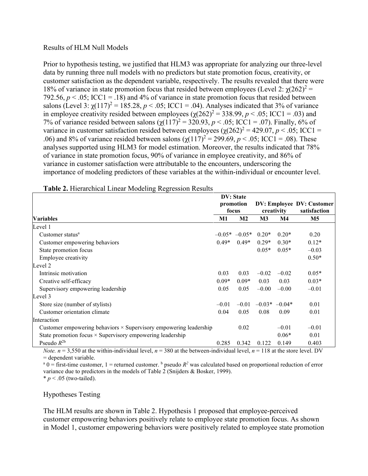#### Results of HLM Null Models

Prior to hypothesis testing, we justified that HLM3 was appropriate for analyzing our three-level data by running three null models with no predictors but state promotion focus, creativity, or customer satisfaction as the dependent variable, respectively. The results revealed that there were 18% of variance in state promotion focus that resided between employees (Level 2:  $\gamma(262)^2$  = 792.56,  $p < .05$ ; ICC1 = .18) and 4% of variance in state promotion focus that resided between salons (Level 3:  $\gamma(117)^2 = 185.28$ ,  $p < .05$ ; ICC1 = .04). Analyses indicated that 3% of variance in employee creativity resided between employees  $(\chi(262)^2 = 338.99, p < .05;$  ICC1 = .03) and 7% of variance resided between salons  $(\gamma(117)^2 = 320.93, p < .05;$  ICC1 = .07). Finally, 6% of variance in customer satisfaction resided between employees  $(\chi(262)^2 = 429.07, p < .05;$  ICC1 = .06) and 8% of variance resided between salons  $(\gamma(117)^2 = 299.69, p < .05;$  ICC1 = .08). These analyses supported using HLM3 for model estimation. Moreover, the results indicated that 78% of variance in state promotion focus, 90% of variance in employee creativity, and 86% of variance in customer satisfaction were attributable to the encounters, underscoring the importance of modeling predictors of these variables at the within-individual or encounter level.

| --- 0                                                                                                                                                                                                                                                                                                          |            | <b>DV</b> : State<br>promotion<br>focus |               | creativity        | DV: Employee DV: Customer<br>satisfaction |  |
|----------------------------------------------------------------------------------------------------------------------------------------------------------------------------------------------------------------------------------------------------------------------------------------------------------------|------------|-----------------------------------------|---------------|-------------------|-------------------------------------------|--|
| <b>Variables</b>                                                                                                                                                                                                                                                                                               | M1         | $\mathbf{M2}$                           | $\mathbf{M}3$ | M4                | M5                                        |  |
| Level 1                                                                                                                                                                                                                                                                                                        |            |                                         |               |                   |                                           |  |
| Customer status <sup>a</sup>                                                                                                                                                                                                                                                                                   | $-0.05*$   | $-0.05*$                                | $0.20*$       | $0.20*$           | 0.20                                      |  |
| Customer empowering behaviors                                                                                                                                                                                                                                                                                  | $0.49*$    | $0.49*$                                 | $0.29*$       | $0.30*$           | $0.12*$                                   |  |
| State promotion focus                                                                                                                                                                                                                                                                                          |            |                                         | $0.05*$       | $0.05*$           | $-0.03$                                   |  |
| Employee creativity                                                                                                                                                                                                                                                                                            |            |                                         |               |                   | $0.50*$                                   |  |
| Level 2                                                                                                                                                                                                                                                                                                        |            |                                         |               |                   |                                           |  |
| Intrinsic motivation                                                                                                                                                                                                                                                                                           | 0.03       | 0.03                                    | $-0.02$       | $-0.02$           | $0.05*$                                   |  |
| Creative self-efficacy                                                                                                                                                                                                                                                                                         | $0.09*$    | $0.09*$                                 | 0.03          | 0.03              | $0.03*$                                   |  |
| Supervisory empowering leadership                                                                                                                                                                                                                                                                              | 0.05       | 0.05                                    | $-0.00$       | $-0.00$           | $-0.01$                                   |  |
| Level 3                                                                                                                                                                                                                                                                                                        |            |                                         |               |                   |                                           |  |
| Store size (number of stylists)                                                                                                                                                                                                                                                                                | $-0.01$    | $-0.01$                                 |               | $-0.03*$ $-0.04*$ | 0.01                                      |  |
| Customer orientation climate                                                                                                                                                                                                                                                                                   | 0.04       | 0.05                                    | 0.08          | 0.09              | 0.01                                      |  |
| Interaction                                                                                                                                                                                                                                                                                                    |            |                                         |               |                   |                                           |  |
| Customer empowering behaviors $\times$ Supervisory empowering leadership                                                                                                                                                                                                                                       |            | 0.02                                    |               | $-0.01$           | $-0.01$                                   |  |
| State promotion focus $\times$ Supervisory empowering leadership                                                                                                                                                                                                                                               |            |                                         |               | $0.06*$           | 0.01                                      |  |
| Pseudo $R^{2b}$<br>the second contract of the second contract of the second contract of the second contract of the second contract of the second contract of the second contract of the second contract of the second contract of the second cont<br>$\sim$ $\sim$ $\sim$ $\sim$ $\sim$ $\sim$<br>$\mathbf{r}$ | 0.285<br>. | 0.342                                   | 0.122         | 0.149             | 0.403<br>$\mathbf{1}$ $\mathbf{N}$        |  |

#### **Table 2.** Hierarchical Linear Modeling Regression Results

*Note.*  $n = 3,550$  at the within-individual level,  $n = 380$  at the between-individual level,  $n = 118$  at the store level. DV = dependent variable.

<sup>a</sup> 0 = first-time customer, 1 = returned customer. <sup>b</sup> pseudo  $R^2$  was calculated based on proportional reduction of error variance due to predictors in the models of Table 2 (Snijders & Bosker, 1999).

 $* p < .05$  (two-tailed).

#### Hypotheses Testing

The HLM results are shown in Table 2. Hypothesis 1 proposed that employee-perceived customer empowering behaviors positively relate to employee state promotion focus. As shown in Model 1, customer empowering behaviors were positively related to employee state promotion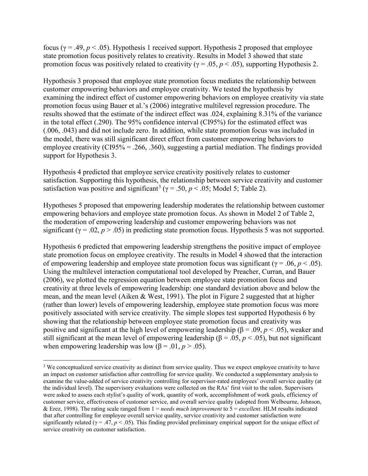focus ( $\gamma = .49$ ,  $p < .05$ ). Hypothesis 1 received support. Hypothesis 2 proposed that employee state promotion focus positively relates to creativity. Results in Model 3 showed that state promotion focus was positively related to creativity ( $\gamma = .05$ ,  $p < .05$ ), supporting Hypothesis 2.

Hypothesis 3 proposed that employee state promotion focus mediates the relationship between customer empowering behaviors and employee creativity. We tested the hypothesis by examining the indirect effect of customer empowering behaviors on employee creativity via state promotion focus using Bauer et al.'s (2006) integrative multilevel regression procedure. The results showed that the estimate of the indirect effect was .024, explaining 8.31% of the variance in the total effect (.290). The 95% confidence interval (CI95%) for the estimated effect was (.006, .043) and did not include zero. In addition, while state promotion focus was included in the model, there was still significant direct effect from customer empowering behaviors to employee creativity (CI95% = .266, .360), suggesting a partial mediation. The findings provided support for Hypothesis 3.

Hypothesis 4 predicted that employee service creativity positively relates to customer satisfaction. Supporting this hypothesis, the relationship between service creativity and customer satisfaction was positive and significant<sup>[3](#page-14-0)</sup> ( $\gamma$  = .50, *p* < .05; Model 5; Table 2).

Hypotheses 5 proposed that empowering leadership moderates the relationship between customer empowering behaviors and employee state promotion focus. As shown in Model 2 of Table 2, the moderation of empowering leadership and customer empowering behaviors was not significant ( $\gamma = .02$ ,  $p > .05$ ) in predicting state promotion focus. Hypothesis 5 was not supported.

Hypothesis 6 predicted that empowering leadership strengthens the positive impact of employee state promotion focus on employee creativity. The results in Model 4 showed that the interaction of empowering leadership and employee state promotion focus was significant ( $\gamma = .06$ ,  $p < .05$ ). Using the multilevel interaction computational tool developed by Preacher, Curran, and Bauer (2006), we plotted the regression equation between employee state promotion focus and creativity at three levels of empowering leadership: one standard deviation above and below the mean, and the mean level (Aiken & West, 1991). The plot in Figure 2 suggested that at higher (rather than lower) levels of empowering leadership, employee state promotion focus was more positively associated with service creativity. The simple slopes test supported Hypothesis 6 by showing that the relationship between employee state promotion focus and creativity was positive and significant at the high level of empowering leadership ( $\beta$  = .09, *p* < .05), weaker and still significant at the mean level of empowering leadership ( $\beta = .05$ ,  $p < .05$ ), but not significant when empowering leadership was low  $(\beta = .01, p > .05)$ .

<span id="page-14-0"></span><sup>&</sup>lt;sup>3</sup> We conceptualized service creativity as distinct from service quality. Thus we expect employee creativity to have an impact on customer satisfaction after controlling for service quality. We conducted a supplementary analysis to examine the value-added of service creativity controlling for supervisor-rated employees' overall service quality (at the individual level). The supervisory evaluations were collected on the RAs' first visit to the salon. Supervisors were asked to assess each stylist's quality of work, quantity of work, accomplishment of work goals, efficiency of customer service, effectiveness of customer service, and overall service quality (adopted from Welbourne, Johnson, & Erez, 1998). The rating scale ranged from 1 = *needs much improvement* to 5 = *excellent*. HLM results indicated that after controlling for employee overall service quality, service creativity and customer satisfaction were significantly related ( $\gamma = .47$ ,  $p < .05$ ). This finding provided preliminary empirical support for the unique effect of service creativity on customer satisfaction.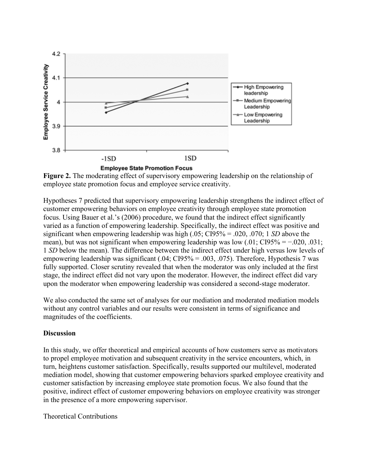

**Figure 2.** The moderating effect of supervisory empowering leadership on the relationship of employee state promotion focus and employee service creativity.

Hypotheses 7 predicted that supervisory empowering leadership strengthens the indirect effect of customer empowering behaviors on employee creativity through employee state promotion focus. Using Bauer et al.'s (2006) procedure, we found that the indirect effect significantly varied as a function of empowering leadership. Specifically, the indirect effect was positive and significant when empowering leadership was high (.05; CI95% = .020, .070; 1 *SD* above the mean), but was not significant when empowering leadership was low  $(.01; CI95\% = -.020, .031;$ 1 *SD* below the mean). The difference between the indirect effect under high versus low levels of empowering leadership was significant  $(.04; CI95% = .003, .075)$ . Therefore, Hypothesis 7 was fully supported. Closer scrutiny revealed that when the moderator was only included at the first stage, the indirect effect did not vary upon the moderator. However, the indirect effect did vary upon the moderator when empowering leadership was considered a second-stage moderator.

We also conducted the same set of analyses for our mediation and moderated mediation models without any control variables and our results were consistent in terms of significance and magnitudes of the coefficients.

## **Discussion**

In this study, we offer theoretical and empirical accounts of how customers serve as motivators to propel employee motivation and subsequent creativity in the service encounters, which, in turn, heightens customer satisfaction. Specifically, results supported our multilevel, moderated mediation model, showing that customer empowering behaviors sparked employee creativity and customer satisfaction by increasing employee state promotion focus. We also found that the positive, indirect effect of customer empowering behaviors on employee creativity was stronger in the presence of a more empowering supervisor.

Theoretical Contributions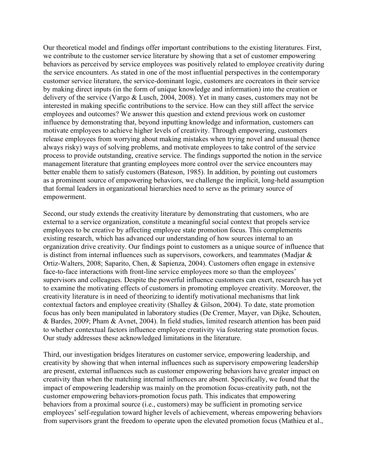Our theoretical model and findings offer important contributions to the existing literatures. First, we contribute to the customer service literature by showing that a set of customer empowering behaviors as perceived by service employees was positively related to employee creativity during the service encounters. As stated in one of the most influential perspectives in the contemporary customer service literature, the service-dominant logic, customers are cocreators in their service by making direct inputs (in the form of unique knowledge and information) into the creation or delivery of the service (Vargo & Lusch, 2004, 2008). Yet in many cases, customers may not be interested in making specific contributions to the service. How can they still affect the service employees and outcomes? We answer this question and extend previous work on customer influence by demonstrating that, beyond inputting knowledge and information, customers can motivate employees to achieve higher levels of creativity. Through empowering, customers release employees from worrying about making mistakes when trying novel and unusual (hence always risky) ways of solving problems, and motivate employees to take control of the service process to provide outstanding, creative service. The findings supported the notion in the service management literature that granting employees more control over the service encounters may better enable them to satisfy customers (Bateson, 1985). In addition, by pointing out customers as a prominent source of empowering behaviors, we challenge the implicit, long-held assumption that formal leaders in organizational hierarchies need to serve as the primary source of empowerment.

Second, our study extends the creativity literature by demonstrating that customers, who are external to a service organization, constitute a meaningful social context that propels service employees to be creative by affecting employee state promotion focus. This complements existing research, which has advanced our understanding of how sources internal to an organization drive creativity. Our findings point to customers as a unique source of influence that is distinct from internal influences such as supervisors, coworkers, and teammates (Madjar & Ortiz-Walters, 2008; Saparito, Chen, & Sapienza, 2004). Customers often engage in extensive face-to-face interactions with front-line service employees more so than the employees' supervisors and colleagues. Despite the powerful influence customers can exert, research has yet to examine the motivating effects of customers in promoting employee creativity. Moreover, the creativity literature is in need of theorizing to identify motivational mechanisms that link contextual factors and employee creativity (Shalley & Gilson, 2004). To date, state promotion focus has only been manipulated in laboratory studies (De Cremer, Mayer, van Dijke, Schouten, & Bardes, 2009; Pham & Avnet, 2004). In field studies, limited research attention has been paid to whether contextual factors influence employee creativity via fostering state promotion focus. Our study addresses these acknowledged limitations in the literature.

Third, our investigation bridges literatures on customer service, empowering leadership, and creativity by showing that when internal influences such as supervisory empowering leadership are present, external influences such as customer empowering behaviors have greater impact on creativity than when the matching internal influences are absent. Specifically, we found that the impact of empowering leadership was mainly on the promotion focus-creativity path, not the customer empowering behaviors-promotion focus path. This indicates that empowering behaviors from a proximal source (i.e., customers) may be sufficient in promoting service employees' self-regulation toward higher levels of achievement, whereas empowering behaviors from supervisors grant the freedom to operate upon the elevated promotion focus (Mathieu et al.,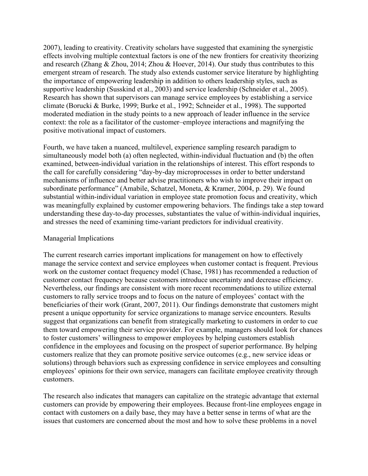2007), leading to creativity. Creativity scholars have suggested that examining the synergistic effects involving multiple contextual factors is one of the new frontiers for creativity theorizing and research (Zhang & Zhou, 2014; Zhou & Hoever, 2014). Our study thus contributes to this emergent stream of research. The study also extends customer service literature by highlighting the importance of empowering leadership in addition to others leadership styles, such as supportive leadership (Susskind et al., 2003) and service leadership (Schneider et al., 2005). Research has shown that supervisors can manage service employees by establishing a service climate (Borucki & Burke, 1999; Burke et al., 1992; Schneider et al., 1998). The supported moderated mediation in the study points to a new approach of leader influence in the service context: the role as a facilitator of the customer–employee interactions and magnifying the positive motivational impact of customers.

Fourth, we have taken a nuanced, multilevel, experience sampling research paradigm to simultaneously model both (a) often neglected, within-individual fluctuation and (b) the often examined, between-individual variation in the relationships of interest. This effort responds to the call for carefully considering "day-by-day microprocesses in order to better understand mechanisms of influence and better advise practitioners who wish to improve their impact on subordinate performance" (Amabile, Schatzel, Moneta, & Kramer, 2004, p. 29). We found substantial within-individual variation in employee state promotion focus and creativity, which was meaningfully explained by customer empowering behaviors. The findings take a step toward understanding these day-to-day processes, substantiates the value of within-individual inquiries, and stresses the need of examining time-variant predictors for individual creativity.

#### Managerial Implications

The current research carries important implications for management on how to effectively manage the service context and service employees when customer contact is frequent. Previous work on the customer contact frequency model (Chase, 1981) has recommended a reduction of customer contact frequency because customers introduce uncertainty and decrease efficiency. Nevertheless, our findings are consistent with more recent recommendations to utilize external customers to rally service troops and to focus on the nature of employees' contact with the beneficiaries of their work (Grant, 2007, 2011). Our findings demonstrate that customers might present a unique opportunity for service organizations to manage service encounters. Results suggest that organizations can benefit from strategically marketing to customers in order to cue them toward empowering their service provider. For example, managers should look for chances to foster customers' willingness to empower employees by helping customers establish confidence in the employees and focusing on the prospect of superior performance. By helping customers realize that they can promote positive service outcomes (e.g., new service ideas or solutions) through behaviors such as expressing confidence in service employees and consulting employees' opinions for their own service, managers can facilitate employee creativity through customers.

The research also indicates that managers can capitalize on the strategic advantage that external customers can provide by empowering their employees. Because front-line employees engage in contact with customers on a daily base, they may have a better sense in terms of what are the issues that customers are concerned about the most and how to solve these problems in a novel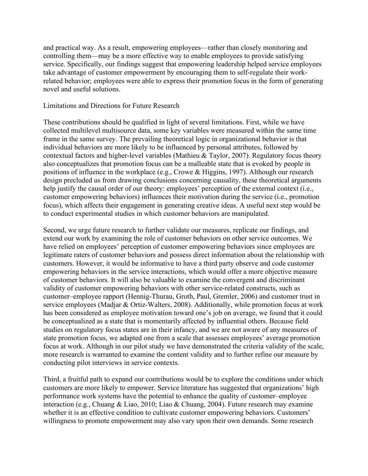and practical way. As a result, empowering employees—rather than closely monitoring and controlling them—may be a more effective way to enable employees to provide satisfying service. Specifically, our findings suggest that empowering leadership helped service employees take advantage of customer empowerment by encouraging them to self-regulate their workrelated behavior; employees were able to express their promotion focus in the form of generating novel and useful solutions.

## Limitations and Directions for Future Research

These contributions should be qualified in light of several limitations. First, while we have collected multilevel multisource data, some key variables were measured within the same time frame in the same survey. The prevailing theoretical logic in organizational behavior is that individual behaviors are more likely to be influenced by personal attributes, followed by contextual factors and higher-level variables (Mathieu & Taylor, 2007). Regulatory focus theory also conceptualizes that promotion focus can be a malleable state that is evoked by people in positions of influence in the workplace (e.g., Crowe & Higgins, 1997). Although our research design precluded us from drawing conclusions concerning causality, these theoretical arguments help justify the causal order of our theory: employees' perception of the external context (i.e., customer empowering behaviors) influences their motivation during the service (i.e., promotion focus), which affects their engagement in generating creative ideas. A useful next step would be to conduct experimental studies in which customer behaviors are manipulated.

Second, we urge future research to further validate our measures, replicate our findings, and extend our work by examining the role of customer behaviors on other service outcomes. We have relied on employees' perception of customer empowering behaviors since employees are legitimate raters of customer behaviors and possess direct information about the relationship with customers. However, it would be informative to have a third party observe and code customer empowering behaviors in the service interactions, which would offer a more objective measure of customer behaviors. It will also be valuable to examine the convergent and discriminant validity of customer empowering behaviors with other service-related constructs, such as customer–employee rapport (Hennig-Thurau, Groth, Paul, Gremler, 2006) and customer trust in service employees (Madjar & Ortiz-Walters, 2008). Additionally, while promotion focus at work has been considered as employee motivation toward one's job on average, we found that it could be conceptualized as a state that is momentarily affected by influential others. Because field studies on regulatory focus states are in their infancy, and we are not aware of any measures of state promotion focus, we adapted one from a scale that assesses employees' average promotion focus at work. Although in our pilot study we have demonstrated the criteria validity of the scale, more research is warranted to examine the content validity and to further refine our measure by conducting pilot interviews in service contexts.

Third, a fruitful path to expand our contributions would be to explore the conditions under which customers are more likely to empower. Service literature has suggested that organizations' high performance work systems have the potential to enhance the quality of customer–employee interaction (e.g., Chuang & Liao, 2010; Liao & Chuang, 2004). Future research may examine whether it is an effective condition to cultivate customer empowering behaviors. Customers' willingness to promote empowerment may also vary upon their own demands. Some research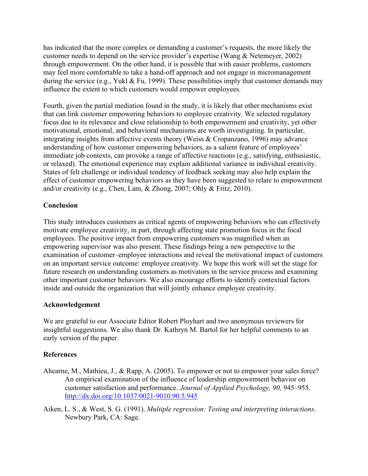has indicated that the more complex or demanding a customer's requests, the more likely the customer needs to depend on the service provider's expertise (Wang & Netemeyer, 2002) through empowerment. On the other hand, it is possible that with easier problems, customers may feel more comfortable to take a hand-off approach and not engage in micromanagement during the service (e.g., Yukl & Fu, 1999). These possibilities imply that customer demands may influence the extent to which customers would empower employees.

Fourth, given the partial mediation found in the study, it is likely that other mechanisms exist that can link customer empowering behaviors to employee creativity. We selected regulatory focus due to its relevance and close relationship to both empowerment and creativity, yet other motivational, emotional, and behavioral mechanisms are worth investigating. In particular, integrating insights from affective events theory (Weiss & Cropanzano, 1996) may advance understanding of how customer empowering behaviors, as a salient feature of employees' immediate job contexts, can provoke a range of affective reactions (e.g., satisfying, enthusiastic, or relaxed). The emotional experience may explain additional variance in individual creativity. States of felt challenge or individual tendency of feedback seeking may also help explain the effect of customer empowering behaviors as they have been suggested to relate to empowerment and/or creativity (e.g., Chen, Lam, & Zhong, 2007; Ohly & Fritz, 2010).

## **Conclusion**

This study introduces customers as critical agents of empowering behaviors who can effectively motivate employee creativity, in part, through affecting state promotion focus in the focal employees. The positive impact from empowering customers was magnified when an empowering supervisor was also present. These findings bring a new perspective to the examination of customer–employee interactions and reveal the motivational impact of customers on an important service outcome: employee creativity. We hope this work will set the stage for future research on understanding customers as motivators in the service process and examining other important customer behaviors. We also encourage efforts to identify contextual factors inside and outside the organization that will jointly enhance employee creativity.

## **Acknowledgement**

We are grateful to our Associate Editor Robert Ployhart and two anonymous reviewers for insightful suggestions. We also thank Dr. Kathryn M. Bartol for her helpful comments to an early version of the paper.

## **References**

- Ahearne, M., Mathieu, J., & Rapp, A. (2005). To empower or not to empower your sales force? An empirical examination of the influence of leadership empowerment behavior on customer satisfaction and performance. *Journal of Applied Psychology, 90,* 945–955. <http://dx.doi.org/10.1037/0021-9010.90.5.945>
- Aiken, L. S., & West, S. G. (1991). *Multiple regression: Testing and interpreting interactions*. Newbury Park, CA: Sage.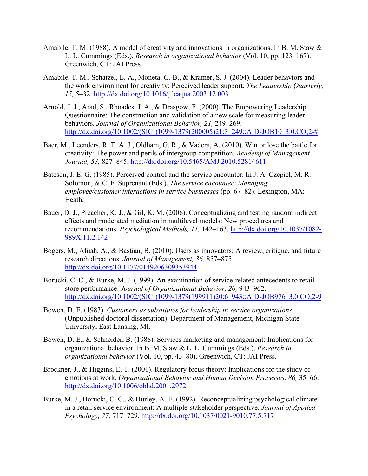- Amabile, T. M. (1988). A model of creativity and innovations in organizations. In B. M. Staw & L. L. Cummings (Eds.), *Research in organizational behavior* (Vol. 10, pp. 123–167). Greenwich, CT: JAI Press.
- Amabile, T. M., Schatzel, E. A., Moneta, G. B., & Kramer, S. J. (2004). Leader behaviors and the work environment for creativity: Perceived leader support. *The Leadership Quarterly, 15,* 5–32.<http://dx.doi.org/10.1016/j.leaqua.2003.12.003>
- Arnold, J. J., Arad, S., Rhoades, J. A., & Drasgow, F. (2000). The Empowering Leadership Questionnaire: The construction and validation of a new scale for measuring leader behaviors. *Journal of Organizational Behavior, 21,* 249–269. [http://dx.doi.org/10.1002/\(SICI\)1099-1379\(200005\)21:3\\_249::AID-JOB10\\_3.0.CO;2-#](http://dx.doi.org/10.1002/(SICI)1099-1379(200005)21:3_249::AID-JOB10_3.0.CO;2-)
- Baer, M., Leenders, R. T. A. J., Oldham, G. R., & Vadera, A. (2010). Win or lose the battle for creativity: The power and perils of intergroup competition. *Academy of Management Journal, 53,* 827–845.<http://dx.doi.org/10.5465/AMJ.2010.52814611>
- Bateson, J. E. G. (1985). Perceived control and the service encounter. In J. A. Czepiel, M. R. Solomon, & C. F. Suprenant (Eds.), *The service encounter: Managing employee/customer interactions in service businesses* (pp. 67–82). Lexington, MA: Heath.
- Bauer, D. J., Preacher, K. J., & Gil, K. M. (2006). Conceptualizing and testing random indirect effects and moderated mediation in multilevel models: New procedures and recommendations. *Psychological Methods, 11,* 142–163. [http://dx.doi.org/10.1037/1082-](http://dx.doi.org/10.1037/1082-989X.11.2.142) [989X.11.2.142](http://dx.doi.org/10.1037/1082-989X.11.2.142)
- Bogers, M., Afuah, A., & Bastian, B. (2010). Users as innovators: A review, critique, and future research directions. *Journal of Management, 36,* 857–875. <http://dx.doi.org/10.1177/0149206309353944>
- Borucki, C. C., & Burke, M. J. (1999). An examination of service-related antecedents to retail store performance. *Journal of Organizational Behavior, 20,* 943–962. [http://dx.doi.org/10.1002/\(SICI\)1099-1379\(199911\)20:6\\_943::AID-JOB976\\_3.0.CO;2-9](http://dx.doi.org/10.1002/(SICI)1099-1379(199911)20:6_943::AID-JOB976_3.0.CO;2-9)
- Bowen, D. E. (1983). *Customers as substitutes for leadership in service organizations*  (Unpublished doctoral dissertation). Department of Management, Michigan State University, East Lansing, MI.
- Bowen, D. E., & Schneider, B. (1988). Services marketing and management: Implications for organizational behavior. In B. M. Staw & L. L. Cummings (Eds.), *Research in organizational behavior* (Vol. 10, pp. 43–80). Greenwich, CT: JAI Press.
- Brockner, J., & Higgins, E. T. (2001). Regulatory focus theory: Implications for the study of emotions at work. *Organizational Behavior and Human Decision Processes, 86,* 35–66. <http://dx.doi.org/10.1006/obhd.2001.2972>
- Burke, M. J., Borucki, C. C., & Hurley, A. E. (1992). Reconceptualizing psychological climate in a retail service environment: A multiple-stakeholder perspective. *Journal of Applied Psychology, 77,* 717–729. <http://dx.doi.org/10.1037/0021-9010.77.5.717>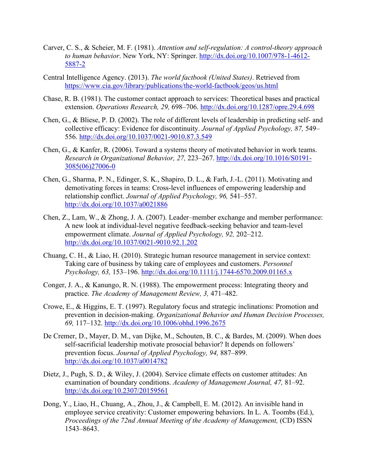- Carver, C. S., & Scheier, M. F. (1981). *Attention and self-regulation: A control-theory approach to human behavior*. New York, NY: Springer. [http://dx.doi.org/10.1007/978-1-4612-](http://dx.doi.org/10.1007/978-1-4612-5887-2) [5887-2](http://dx.doi.org/10.1007/978-1-4612-5887-2)
- Central Intelligence Agency. (2013). *The world factbook (United States)*. Retrieved from <https://www.cia.gov/library/publications/the-world-factbook/geos/us.html>
- Chase, R. B. (1981). The customer contact approach to services: Theoretical bases and practical extension. *Operations Research, 29,* 698–706. <http://dx.doi.org/10.1287/opre.29.4.698>
- Chen, G., & Bliese, P. D. (2002). The role of different levels of leadership in predicting self- and collective efficacy: Evidence for discontinuity. *Journal of Applied Psychology, 87,* 549– 556.<http://dx.doi.org/10.1037/0021-9010.87.3.549>
- Chen, G., & Kanfer, R. (2006). Toward a systems theory of motivated behavior in work teams. *Research in Organizational Behavior, 27,* 223–267. [http://dx.doi.org/10.1016/S0191-](http://dx.doi.org/10.1016/S0191-3085(06)27006-0) [3085\(06\)27006-0](http://dx.doi.org/10.1016/S0191-3085(06)27006-0)
- Chen, G., Sharma, P. N., Edinger, S. K., Shapiro, D. L., & Farh, J.-L. (2011). Motivating and demotivating forces in teams: Cross-level influences of empowering leadership and relationship conflict. *Journal of Applied Psychology, 96,* 541–557. <http://dx.doi.org/10.1037/a0021886>
- Chen, Z., Lam, W., & Zhong, J. A. (2007). Leader–member exchange and member performance: A new look at individual-level negative feedback-seeking behavior and team-level empowerment climate. *Journal of Applied Psychology, 92,* 202–212. <http://dx.doi.org/10.1037/0021-9010.92.1.202>
- Chuang, C. H., & Liao, H. (2010). Strategic human resource management in service context: Taking care of business by taking care of employees and customers. *Personnel Psychology, 63,* 153–196.<http://dx.doi.org/10.1111/j.1744-6570.2009.01165.x>
- Conger, J. A., & Kanungo, R. N. (1988). The empowerment process: Integrating theory and practice. *The Academy of Management Review, 3,* 471–482.
- Crowe, E., & Higgins, E. T. (1997). Regulatory focus and strategic inclinations: Promotion and prevention in decision-making. *Organizational Behavior and Human Decision Processes, 69,* 117–132.<http://dx.doi.org/10.1006/obhd.1996.2675>
- De Cremer, D., Mayer, D. M., van Dijke, M., Schouten, B. C., & Bardes, M. (2009). When does self-sacrificial leadership motivate prosocial behavior? It depends on followers' prevention focus. *Journal of Applied Psychology, 94,* 887–899. <http://dx.doi.org/10.1037/a0014782>
- Dietz, J., Pugh, S. D., & Wiley, J. (2004). Service climate effects on customer attitudes: An examination of boundary conditions. *Academy of Management Journal, 47,* 81–92. <http://dx.doi.org/10.2307/20159561>
- Dong, Y., Liao, H., Chuang, A., Zhou, J., & Campbell, E. M. (2012). An invisible hand in employee service creativity: Customer empowering behaviors. In L. A. Toombs (Ed.), *Proceedings of the 72nd Annual Meeting of the Academy of Management,* (CD) ISSN 1543–8643.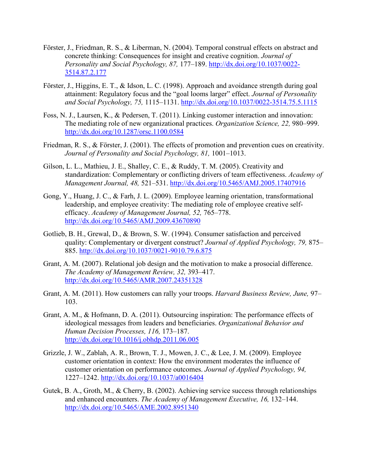- Förster, J., Friedman, R. S., & Liberman, N. (2004). Temporal construal effects on abstract and concrete thinking: Consequences for insight and creative cognition. *Journal of Personality and Social Psychology, 87,* 177–189. [http://dx.doi.org/10.1037/0022-](http://dx.doi.org/10.1037/0022-3514.87.2.177) [3514.87.2.177](http://dx.doi.org/10.1037/0022-3514.87.2.177)
- Förster, J., Higgins, E. T., & Idson, L. C. (1998). Approach and avoidance strength during goal attainment: Regulatory focus and the "goal looms larger" effect. *Journal of Personality and Social Psychology, 75,* 1115–1131.<http://dx.doi.org/10.1037/0022-3514.75.5.1115>
- Foss, N. J., Laursen, K., & Pedersen, T. (2011). Linking customer interaction and innovation: The mediating role of new organizational practices. *Organization Science, 22,* 980–999. <http://dx.doi.org/10.1287/orsc.1100.0584>
- Friedman, R. S., & Förster, J. (2001). The effects of promotion and prevention cues on creativity. *Journal of Personality and Social Psychology, 81,* 1001–1013.
- Gilson, L. L., Mathieu, J. E., Shalley, C. E., & Ruddy, T. M. (2005). Creativity and standardization: Complementary or conflicting drivers of team effectiveness. *Academy of Management Journal, 48,* 521–531. <http://dx.doi.org/10.5465/AMJ.2005.17407916>
- Gong, Y., Huang, J. C., & Farh, J. L. (2009). Employee learning orientation, transformational leadership, and employee creativity: The mediating role of employee creative selfefficacy. *Academy of Management Journal, 52,* 765–778. <http://dx.doi.org/10.5465/AMJ.2009.43670890>
- Gotlieb, B. H., Grewal, D., & Brown, S. W. (1994). Consumer satisfaction and perceived quality: Complementary or divergent construct? *Journal of Applied Psychology, 79,* 875– 885.<http://dx.doi.org/10.1037/0021-9010.79.6.875>
- Grant, A. M. (2007). Relational job design and the motivation to make a prosocial difference. *The Academy of Management Review, 32,* 393–417. <http://dx.doi.org/10.5465/AMR.2007.24351328>
- Grant, A. M. (2011). How customers can rally your troops. *Harvard Business Review, June,* 97– 103.
- Grant, A. M., & Hofmann, D. A. (2011). Outsourcing inspiration: The performance effects of ideological messages from leaders and beneficiaries. *Organizational Behavior and Human Decision Processes, 116,* 173–187. <http://dx.doi.org/10.1016/j.obhdp.2011.06.005>
- Grizzle, J. W., Zablah, A. R., Brown, T. J., Mowen, J. C., & Lee, J. M. (2009). Employee customer orientation in context: How the environment moderates the influence of customer orientation on performance outcomes. *Journal of Applied Psychology, 94,*  1227–1242.<http://dx.doi.org/10.1037/a0016404>
- Gutek, B. A., Groth, M., & Cherry, B. (2002). Achieving service success through relationships and enhanced encounters. *The Academy of Management Executive, 16,* 132–144. <http://dx.doi.org/10.5465/AME.2002.8951340>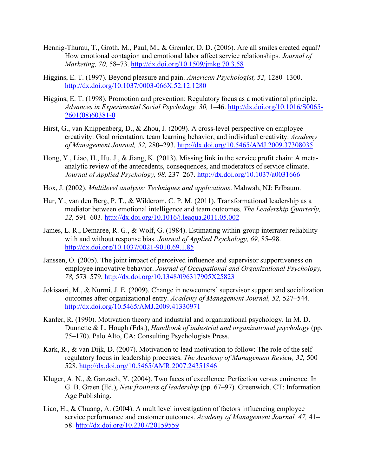- Hennig-Thurau, T., Groth, M., Paul, M., & Gremler, D. D. (2006). Are all smiles created equal? How emotional contagion and emotional labor affect service relationships. *Journal of Marketing, 70,* 58–73.<http://dx.doi.org/10.1509/jmkg.70.3.58>
- Higgins, E. T. (1997). Beyond pleasure and pain. *American Psychologist, 52,* 1280–1300. <http://dx.doi.org/10.1037/0003-066X.52.12.1280>
- Higgins, E. T. (1998). Promotion and prevention: Regulatory focus as a motivational principle. *Advances in Experimental Social Psychology, 30,* 1–46. [http://dx.doi.org/10.1016/S0065-](http://dx.doi.org/10.1016/S0065-2601(08)60381-0) [2601\(08\)60381-0](http://dx.doi.org/10.1016/S0065-2601(08)60381-0)
- Hirst, G., van Knippenberg, D., & Zhou, J. (2009). A cross-level perspective on employee creativity: Goal orientation, team learning behavior, and individual creativity. *Academy of Management Journal, 52,* 280–293.<http://dx.doi.org/10.5465/AMJ.2009.37308035>
- Hong, Y., Liao, H., Hu, J., & Jiang, K. (2013). Missing link in the service profit chain: A metaanalytic review of the antecedents, consequences, and moderators of service climate. *Journal of Applied Psychology, 98,* 237–267.<http://dx.doi.org/10.1037/a0031666>
- Hox, J. (2002). *Multilevel analysis: Techniques and applications*. Mahwah, NJ: Erlbaum.
- Hur, Y., van den Berg, P. T., & Wilderom, C. P. M. (2011). Transformational leadership as a mediator between emotional intelligence and team outcomes. *The Leadership Quarterly, 22,* 591–603.<http://dx.doi.org/10.1016/j.leaqua.2011.05.002>
- James, L. R., Demaree, R. G., & Wolf, G. (1984). Estimating within-group interrater reliability with and without response bias. *Journal of Applied Psychology, 69,* 85–98. <http://dx.doi.org/10.1037/0021-9010.69.1.85>
- Janssen, O. (2005). The joint impact of perceived influence and supervisor supportiveness on employee innovative behavior. *Journal of Occupational and Organizational Psychology, 78,* 573–579.<http://dx.doi.org/10.1348/096317905X25823>
- Jokisaari, M., & Nurmi, J. E. (2009). Change in newcomers' supervisor support and socialization outcomes after organizational entry. *Academy of Management Journal, 52,* 527–544. <http://dx.doi.org/10.5465/AMJ.2009.41330971>
- Kanfer, R. (1990). Motivation theory and industrial and organizational psychology. In M. D. Dunnette & L. Hough (Eds.), *Handbook of industrial and organizational psychology* (pp. 75–170). Palo Alto, CA: Consulting Psychologists Press.
- Kark, R., & van Dijk, D. (2007). Motivation to lead motivation to follow: The role of the selfregulatory focus in leadership processes. *The Academy of Management Review, 32,* 500– 528.<http://dx.doi.org/10.5465/AMR.2007.24351846>
- Kluger, A. N., & Ganzach, Y. (2004). Two faces of excellence: Perfection versus eminence. In G. B. Graen (Ed.), *New frontiers of leadership* (pp. 67–97). Greenwich, CT: Information Age Publishing.
- Liao, H., & Chuang, A. (2004). A multilevel investigation of factors influencing employee service performance and customer outcomes. *Academy of Management Journal, 47,* 41– 58.<http://dx.doi.org/10.2307/20159559>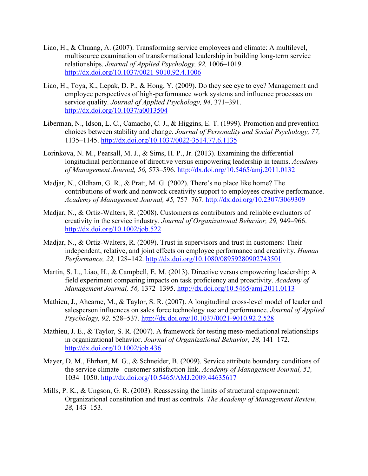- Liao, H., & Chuang, A. (2007). Transforming service employees and climate: A multilevel, multisource examination of transformational leadership in building long-term service relationships. *Journal of Applied Psychology, 92,* 1006–1019. <http://dx.doi.org/10.1037/0021-9010.92.4.1006>
- Liao, H., Toya, K., Lepak, D. P., & Hong, Y. (2009). Do they see eye to eye? Management and employee perspectives of high-performance work systems and influence processes on service quality. *Journal of Applied Psychology, 94,* 371–391. <http://dx.doi.org/10.1037/a0013504>
- Liberman, N., Idson, L. C., Camacho, C. J., & Higgins, E. T. (1999). Promotion and prevention choices between stability and change. *Journal of Personality and Social Psychology, 77,*  1135–1145.<http://dx.doi.org/10.1037/0022-3514.77.6.1135>
- Lorinkova, N. M., Pearsall, M. J., & Sims, H. P., Jr. (2013). Examining the differential longitudinal performance of directive versus empowering leadership in teams. *Academy of Management Journal, 56,* 573–596. <http://dx.doi.org/10.5465/amj.2011.0132>
- Madjar, N., Oldham, G. R., & Pratt, M. G. (2002). There's no place like home? The contributions of work and nonwork creativity support to employees creative performance. *Academy of Management Journal, 45,* 757–767.<http://dx.doi.org/10.2307/3069309>
- Madjar, N., & Ortiz-Walters, R. (2008). Customers as contributors and reliable evaluators of creativity in the service industry. *Journal of Organizational Behavior, 29,* 949–966. <http://dx.doi.org/10.1002/job.522>
- Madjar, N., & Ortiz-Walters, R. (2009). Trust in supervisors and trust in customers: Their independent, relative, and joint effects on employee performance and creativity. *Human Performance, 22,* 128–142.<http://dx.doi.org/10.1080/08959280902743501>
- Martin, S. L., Liao, H., & Campbell, E. M. (2013). Directive versus empowering leadership: A field experiment comparing impacts on task proficiency and proactivity. *Academy of Management Journal, 56,* 1372–1395.<http://dx.doi.org/10.5465/amj.2011.0113>
- Mathieu, J., Ahearne, M., & Taylor, S. R. (2007). A longitudinal cross-level model of leader and salesperson influences on sales force technology use and performance. *Journal of Applied Psychology, 92,* 528–537. <http://dx.doi.org/10.1037/0021-9010.92.2.528>
- Mathieu, J. E., & Taylor, S. R. (2007). A framework for testing meso-mediational relationships in organizational behavior. *Journal of Organizational Behavior, 28,* 141–172. <http://dx.doi.org/10.1002/job.436>
- Mayer, D. M., Ehrhart, M. G., & Schneider, B. (2009). Service attribute boundary conditions of the service climate– customer satisfaction link. *Academy of Management Journal, 52,*  1034–1050.<http://dx.doi.org/10.5465/AMJ.2009.44635617>
- Mills, P. K., & Ungson, G. R. (2003). Reassessing the limits of structural empowerment: Organizational constitution and trust as controls. *The Academy of Management Review, 28,* 143–153.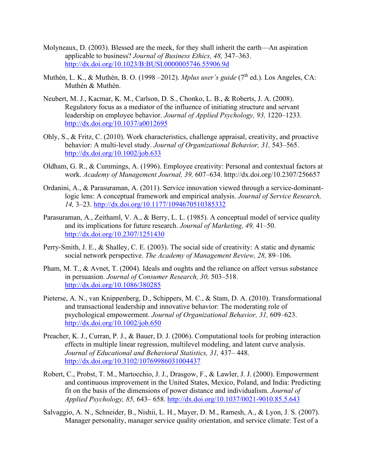- Molyneaux, D. (2003). Blessed are the meek, for they shall inherit the earth—An aspiration applicable to business? *Journal of Business Ethics, 48,* 347–363. <http://dx.doi.org/10.1023/B:BUSI.0000005746.55906.9d>
- Muthén, L. K., & Muthén, B. O. (1998 –2012). *Mplus user's guide* (7<sup>th</sup> ed.). Los Angeles, CA: Muthén & Muthén.
- Neubert, M. J., Kacmar, K. M., Carlson, D. S., Chonko, L. B., & Roberts, J. A. (2008). Regulatory focus as a mediator of the influence of initiating structure and servant leadership on employee behavior. *Journal of Applied Psychology, 93,* 1220–1233. <http://dx.doi.org/10.1037/a0012695>
- Ohly, S., & Fritz, C. (2010). Work characteristics, challenge appraisal, creativity, and proactive behavior: A multi-level study. *Journal of Organizational Behavior, 31,* 543–565. <http://dx.doi.org/10.1002/job.633>
- Oldham, G. R., & Cummings, A. (1996). Employee creativity: Personal and contextual factors at work. *Academy of Management Journal, 39,* 607–634. http://dx.doi.org/10.2307/256657
- Ordanini, A., & Parasuraman, A. (2011). Service innovation viewed through a service-dominantlogic lens: A conceptual framework and empirical analysis. *Journal of Service Research, 14,* 3–23.<http://dx.doi.org/10.1177/1094670510385332>
- Parasuraman, A., Zeithaml, V. A., & Berry, L. L. (1985). A conceptual model of service quality and its implications for future research. *Journal of Marketing, 49,* 41–50. <http://dx.doi.org/10.2307/1251430>
- Perry-Smith, J. E., & Shalley, C. E. (2003). The social side of creativity: A static and dynamic social network perspective. *The Academy of Management Review, 28,* 89–106.
- Pham, M. T., & Avnet, T. (2004). Ideals and oughts and the reliance on affect versus substance in persuasion. *Journal of Consumer Research, 30,* 503–518. <http://dx.doi.org/10.1086/380285>
- Pieterse, A. N., van Knippenberg, D., Schippers, M. C., & Stam, D. A. (2010). Transformational and transactional leadership and innovative behavior: The moderating role of psychological empowerment. *Journal of Organizational Behavior, 31,* 609–623. <http://dx.doi.org/10.1002/job.650>
- Preacher, K. J., Curran, P. J., & Bauer, D. J. (2006). Computational tools for probing interaction effects in multiple linear regression, multilevel modeling, and latent curve analysis. *Journal of Educational and Behavioral Statistics, 31,* 437– 448. <http://dx.doi.org/10.3102/10769986031004437>
- Robert, C., Probst, T. M., Martocchio, J. J., Drasgow, F., & Lawler, J. J. (2000). Empowerment and continuous improvement in the United States, Mexico, Poland, and India: Predicting fit on the basis of the dimensions of power distance and individualism. *Journal of Applied Psychology, 85,* 643– 658.<http://dx.doi.org/10.1037/0021-9010.85.5.643>
- Salvaggio, A. N., Schneider, B., Nishii, L. H., Mayer, D. M., Ramesh, A., & Lyon, J. S. (2007). Manager personality, manager service quality orientation, and service climate: Test of a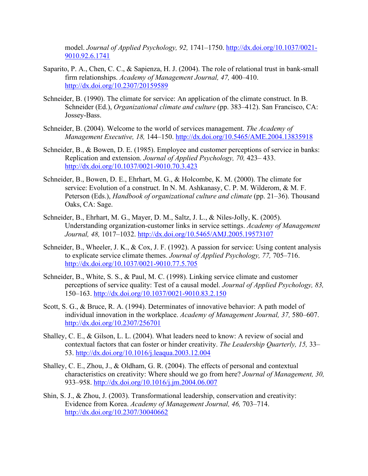model. *Journal of Applied Psychology, 92,* 1741–1750. [http://dx.doi.org/10.1037/0021-](http://dx.doi.org/10.1037/0021-9010.92.6.1741) [9010.92.6.1741](http://dx.doi.org/10.1037/0021-9010.92.6.1741)

- Saparito, P. A., Chen, C. C., & Sapienza, H. J. (2004). The role of relational trust in bank-small firm relationships. *Academy of Management Journal, 47,* 400–410. <http://dx.doi.org/10.2307/20159589>
- Schneider, B. (1990). The climate for service: An application of the climate construct. In B. Schneider (Ed.), *Organizational climate and culture* (pp. 383–412). San Francisco, CA: Jossey-Bass.
- Schneider, B. (2004). Welcome to the world of services management. *The Academy of Management Executive, 18,* 144–150.<http://dx.doi.org/10.5465/AME.2004.13835918>
- Schneider, B., & Bowen, D. E. (1985). Employee and customer perceptions of service in banks: Replication and extension. *Journal of Applied Psychology, 70,* 423– 433. <http://dx.doi.org/10.1037/0021-9010.70.3.423>
- Schneider, B., Bowen, D. E., Ehrhart, M. G., & Holcombe, K. M. (2000). The climate for service: Evolution of a construct. In N. M. Ashkanasy, C. P. M. Wilderom, & M. F. Peterson (Eds.), *Handbook of organizational culture and climate* (pp. 21–36). Thousand Oaks, CA: Sage.
- Schneider, B., Ehrhart, M. G., Mayer, D. M., Saltz, J. L., & Niles-Jolly, K. (2005). Understanding organization-customer links in service settings. *Academy of Management Journal, 48,* 1017–1032.<http://dx.doi.org/10.5465/AMJ.2005.19573107>
- Schneider, B., Wheeler, J. K., & Cox, J. F. (1992). A passion for service: Using content analysis to explicate service climate themes. *Journal of Applied Psychology, 77,* 705–716. <http://dx.doi.org/10.1037/0021-9010.77.5.705>
- Schneider, B., White, S. S., & Paul, M. C. (1998). Linking service climate and customer perceptions of service quality: Test of a causal model. *Journal of Applied Psychology, 83,*  150–163.<http://dx.doi.org/10.1037/0021-9010.83.2.150>
- Scott, S. G., & Bruce, R. A. (1994). Determinates of innovative behavior: A path model of individual innovation in the workplace. *Academy of Management Journal, 37,* 580–607. <http://dx.doi.org/10.2307/256701>
- Shalley, C. E., & Gilson, L. L. (2004). What leaders need to know: A review of social and contextual factors that can foster or hinder creativity. *The Leadership Quarterly, 15,* 33– 53.<http://dx.doi.org/10.1016/j.leaqua.2003.12.004>
- Shalley, C. E., Zhou, J., & Oldham, G. R. (2004). The effects of personal and contextual characteristics on creativity: Where should we go from here? *Journal of Management, 30,*  933–958.<http://dx.doi.org/10.1016/j.jm.2004.06.007>
- Shin, S. J., & Zhou, J. (2003). Transformational leadership, conservation and creativity: Evidence from Korea. *Academy of Management Journal, 46,* 703–714. <http://dx.doi.org/10.2307/30040662>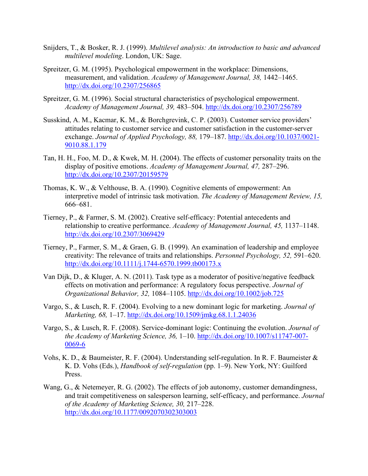- Snijders, T., & Bosker, R. J. (1999). *Multilevel analysis: An introduction to basic and advanced multilevel modeling*. London, UK: Sage.
- Spreitzer, G. M. (1995). Psychological empowerment in the workplace: Dimensions, measurement, and validation. *Academy of Management Journal, 38,* 1442–1465. <http://dx.doi.org/10.2307/256865>
- Spreitzer, G. M. (1996). Social structural characteristics of psychological empowerment. *Academy of Management Journal, 39,* 483–504.<http://dx.doi.org/10.2307/256789>
- Susskind, A. M., Kacmar, K. M., & Borchgrevink, C. P. (2003). Customer service providers' attitudes relating to customer service and customer satisfaction in the customer-server exchange. *Journal of Applied Psychology, 88,* 179–187. [http://dx.doi.org/10.1037/0021-](http://dx.doi.org/10.1037/0021-9010.88.1.179) [9010.88.1.179](http://dx.doi.org/10.1037/0021-9010.88.1.179)
- Tan, H. H., Foo, M. D., & Kwek, M. H. (2004). The effects of customer personality traits on the display of positive emotions. *Academy of Management Journal, 47,* 287–296. <http://dx.doi.org/10.2307/20159579>
- Thomas, K. W., & Velthouse, B. A. (1990). Cognitive elements of empowerment: An interpretive model of intrinsic task motivation. *The Academy of Management Review, 15,*  666–681.
- Tierney, P., & Farmer, S. M. (2002). Creative self-efficacy: Potential antecedents and relationship to creative performance. *Academy of Management Journal, 45,* 1137–1148. <http://dx.doi.org/10.2307/3069429>
- Tierney, P., Farmer, S. M., & Graen, G. B. (1999). An examination of leadership and employee creativity: The relevance of traits and relationships. *Personnel Psychology, 52,* 591–620. <http://dx.doi.org/10.1111/j.1744-6570.1999.tb00173.x>
- Van Dijk, D., & Kluger, A. N. (2011). Task type as a moderator of positive/negative feedback effects on motivation and performance: A regulatory focus perspective. *Journal of Organizational Behavior, 32,* 1084–1105.<http://dx.doi.org/10.1002/job.725>
- Vargo, S., & Lusch, R. F. (2004). Evolving to a new dominant logic for marketing. *Journal of Marketing, 68,* 1–17.<http://dx.doi.org/10.1509/jmkg.68.1.1.24036>
- Vargo, S., & Lusch, R. F. (2008). Service-dominant logic: Continuing the evolution. *Journal of the Academy of Marketing Science, 36,* 1–10. [http://dx.doi.org/10.1007/s11747-007-](http://dx.doi.org/10.1007/s11747-007-0069-6) [0069-6](http://dx.doi.org/10.1007/s11747-007-0069-6)
- Vohs, K. D., & Baumeister, R. F. (2004). Understanding self-regulation. In R. F. Baumeister & K. D. Vohs (Eds.), *Handbook of self-regulation* (pp. 1–9). New York, NY: Guilford Press.
- Wang, G., & Netemeyer, R. G. (2002). The effects of job autonomy, customer demandingness, and trait competitiveness on salesperson learning, self-efficacy, and performance. *Journal of the Academy of Marketing Science, 30,* 217–228. <http://dx.doi.org/10.1177/0092070302303003>